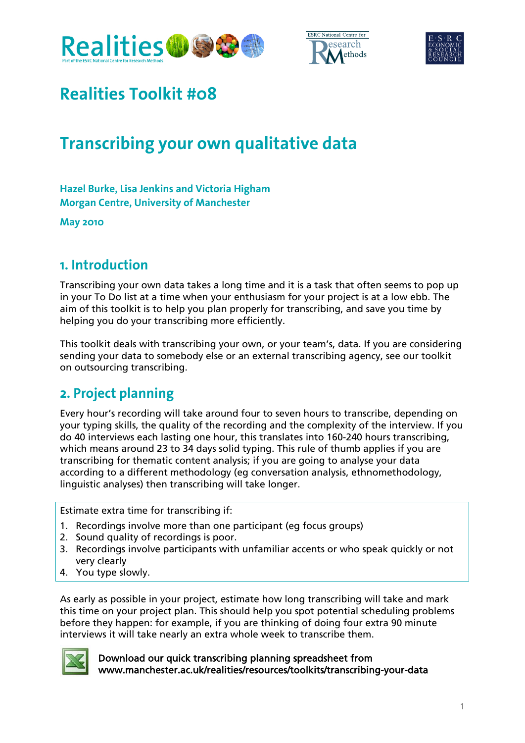





# **Realities Toolkit #08**

# **Transcribing your own qualitative data**

**Hazel Burke, Lisa Jenkins and Victoria Higham Morgan Centre, University of Manchester** 

**May 2010** 

## **1. Introduction**

Transcribing your own data takes a long time and it is a task that often seems to pop up in your To Do list at a time when your enthusiasm for your project is at a low ebb. The aim of this toolkit is to help you plan properly for transcribing, and save you time by helping you do your transcribing more efficiently.

This toolkit deals with transcribing your own, or your team's, data. If you are considering sending your data to somebody else or an external transcribing agency, see our toolkit on outsourcing transcribing.

# **2. Project planning**

Every hour's recording will take around four to seven hours to transcribe, depending on your typing skills, the quality of the recording and the complexity of the interview. If you do 40 interviews each lasting one hour, this translates into 160-240 hours transcribing, which means around 23 to 34 days solid typing. This rule of thumb applies if you are transcribing for thematic content analysis; if you are going to analyse your data according to a different methodology (eg conversation analysis, ethnomethodology, linguistic analyses) then transcribing will take longer.

Estimate extra time for transcribing if:

- 1. Recordings involve more than one participant (eg focus groups)
- 2. Sound quality of recordings is poor.
- 3. Recordings involve participants with unfamiliar accents or who speak quickly or not very clearly
- 4. You type slowly.

As early as possible in your project, estimate how long transcribing will take and mark this time on your project plan. This should help you spot potential scheduling problems before they happen: for example, if you are thinking of doing four extra 90 minute interviews it will take nearly an extra whole week to transcribe them.



Download our quick transcribing planning spreadsheet from www.manchester.ac.uk/realities/resources/toolkits/transcribing-your-data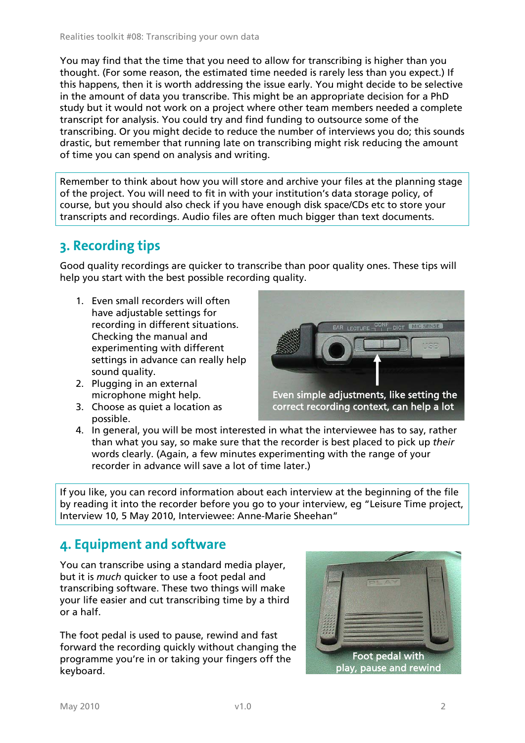You may find that the time that you need to allow for transcribing is higher than you thought. (For some reason, the estimated time needed is rarely less than you expect.) If this happens, then it is worth addressing the issue early. You might decide to be selective in the amount of data you transcribe. This might be an appropriate decision for a PhD study but it would not work on a project where other team members needed a complete transcript for analysis. You could try and find funding to outsource some of the transcribing. Or you might decide to reduce the number of interviews you do; this sounds drastic, but remember that running late on transcribing might risk reducing the amount of time you can spend on analysis and writing.

Remember to think about how you will store and archive your files at the planning stage of the project. You will need to fit in with your institution's data storage policy, of course, but you should also check if you have enough disk space/CDs etc to store your transcripts and recordings. Audio files are often much bigger than text documents.

# **3. Recording tips**

Good quality recordings are quicker to transcribe than poor quality ones. These tips will help you start with the best possible recording quality.

- 1. Even small recorders will often have adjustable settings for recording in different situations. Checking the manual and experimenting with different settings in advance can really help sound quality.
- 2. Plugging in an external microphone might help.
- 3. Choose as quiet a location as possible.



4. In general, you will be most interested in what the interviewee has to say, rather than what you say, so make sure that the recorder is best placed to pick up *their* words clearly. (Again, a few minutes experimenting with the range of your recorder in advance will save a lot of time later.)

If you like, you can record information about each interview at the beginning of the file by reading it into the recorder before you go to your interview, eg "Leisure Time project, Interview 10, 5 May 2010, Interviewee: Anne-Marie Sheehan"

# **4. Equipment and software**

You can transcribe using a standard media player, but it is *much* quicker to use a foot pedal and transcribing software. These two things will make your life easier and cut transcribing time by a third or a half.

The foot pedal is used to pause, rewind and fast forward the recording quickly without changing the programme you're in or taking your fingers off the keyboard.

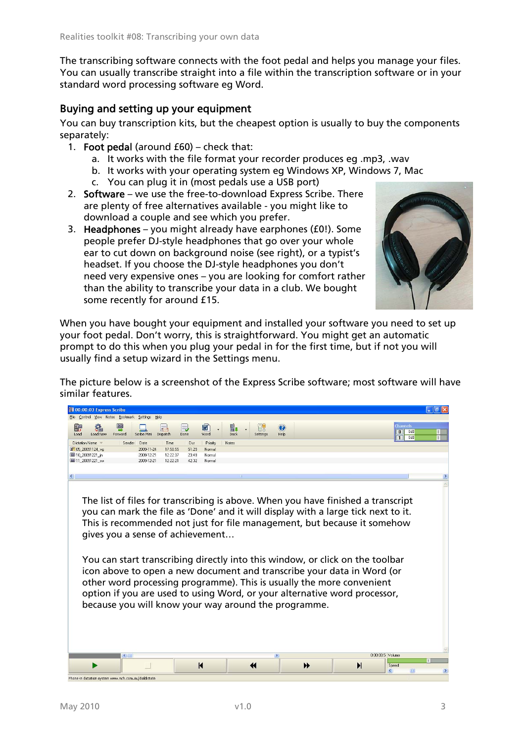The transcribing software connects with the foot pedal and helps you manage your files. You can usually transcribe straight into a file within the transcription software or in your standard word processing software eg Word.

## Buying and setting up your equipment

You can buy transcription kits, but the cheapest option is usually to buy the components separately:

- 1. Foot pedal (around  $E(60)$  check that:
	- a. It works with the file format your recorder produces eg .mp3, .wav
	- b. It works with your operating system eg Windows XP, Windows 7, Mac
	- c. You can plug it in (most pedals use a USB port)
- 2. Software we use the free-to-download Express Scribe. There are plenty of free alternatives available - you might like to download a couple and see which you prefer.
- 3. Headphones you might already have earphones (£0!). Some people prefer DJ-style headphones that go over your whole ear to cut down on background noise (see right), or a typist's headset. If you choose the DJ-style headphones you don't need very expensive ones – you are looking for comfort rather than the ability to transcribe your data in a club. We bought some recently for around £15.



When you have bought your equipment and installed your software you need to set up your foot pedal. Don't worry, this is straightforward. You might get an automatic prompt to do this when you plug your pedal in for the first time, but if not you will usually find a setup wizard in the Settings menu.

The picture below is a screenshot of the Express Scribe software; most software will have similar features.

| 00:00:03 Express Scribe                              |                                                                                                                                                                                                                                                                                                                                                                                                                                                                                                                                                                                                                                                                |                                                            |                        |                       |                       |                                               |                       |
|------------------------------------------------------|----------------------------------------------------------------------------------------------------------------------------------------------------------------------------------------------------------------------------------------------------------------------------------------------------------------------------------------------------------------------------------------------------------------------------------------------------------------------------------------------------------------------------------------------------------------------------------------------------------------------------------------------------------------|------------------------------------------------------------|------------------------|-----------------------|-----------------------|-----------------------------------------------|-----------------------|
| File Control View Notes Bookmark Settings Help       |                                                                                                                                                                                                                                                                                                                                                                                                                                                                                                                                                                                                                                                                |                                                            |                        |                       |                       |                                               |                       |
| 謂<br>Load Now<br>Load<br>Forward                     | Scribe Mini<br>Dispatch                                                                                                                                                                                                                                                                                                                                                                                                                                                                                                                                                                                                                                        | $\blacksquare$<br>Word<br>Done                             | W.<br>Dock<br>Settinas | $\bullet$<br>Help     |                       | <b>Channels</b><br>0dB<br>$\mathbf{n}$<br>0dB |                       |
| Dictation Name =                                     | Sender Date<br>Time                                                                                                                                                                                                                                                                                                                                                                                                                                                                                                                                                                                                                                            | Dur<br>Priority                                            | Notes                  |                       |                       |                                               |                       |
| 20091124 vq                                          | 2009-11-24                                                                                                                                                                                                                                                                                                                                                                                                                                                                                                                                                                                                                                                     | 17:50:55<br>51:29<br>Normal                                |                        |                       |                       |                                               |                       |
| 图 10 20091221 in<br><b>ES</b> 11 20091221 sw         | 2009-12-21<br>2009-12-21                                                                                                                                                                                                                                                                                                                                                                                                                                                                                                                                                                                                                                       | 12:22:37<br>23:49<br>Normal<br>12-22-21<br>42:32<br>Normal |                        |                       |                       |                                               |                       |
|                                                      |                                                                                                                                                                                                                                                                                                                                                                                                                                                                                                                                                                                                                                                                |                                                            |                        |                       |                       |                                               |                       |
| $\left  \cdot \right $                               |                                                                                                                                                                                                                                                                                                                                                                                                                                                                                                                                                                                                                                                                |                                                            |                        |                       |                       |                                               |                       |
|                                                      |                                                                                                                                                                                                                                                                                                                                                                                                                                                                                                                                                                                                                                                                |                                                            |                        |                       |                       |                                               |                       |
|                                                      | The list of files for transcribing is above. When you have finished a transcript<br>you can mark the file as 'Done' and it will display with a large tick next to it.<br>This is recommended not just for file management, but because it somehow<br>gives you a sense of achievement<br>You can start transcribing directly into this window, or click on the toolbar<br>icon above to open a new document and transcribe your data in Word (or<br>other word processing programme). This is usually the more convenient<br>option if you are used to using Word, or your alternative word processor,<br>because you will know your way around the programme. |                                                            |                        |                       |                       |                                               |                       |
|                                                      |                                                                                                                                                                                                                                                                                                                                                                                                                                                                                                                                                                                                                                                                | $\blacksquare$                                             | 44                     | $\blacktriangleright$ | $\blacktriangleright$ | Speed                                         |                       |
|                                                      |                                                                                                                                                                                                                                                                                                                                                                                                                                                                                                                                                                                                                                                                |                                                            |                        |                       |                       | $\left\langle \right\rangle$                  | $\blacktriangleright$ |
| Phone-in dictation system www.nch.com.au/dialdictate |                                                                                                                                                                                                                                                                                                                                                                                                                                                                                                                                                                                                                                                                |                                                            |                        |                       |                       |                                               |                       |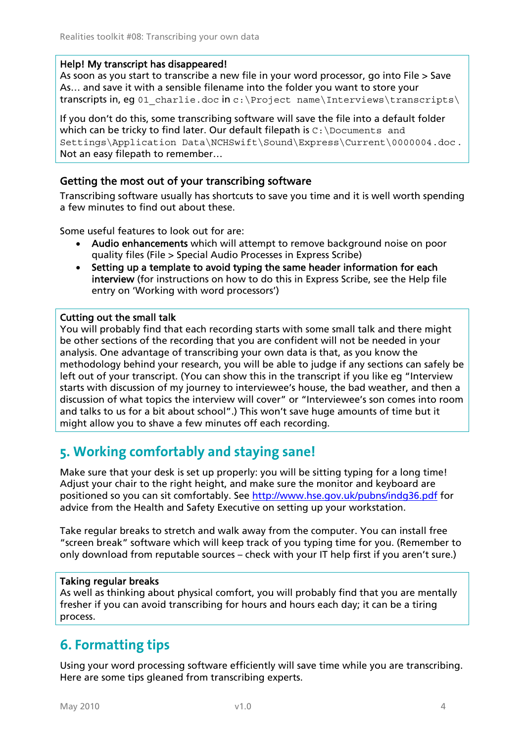#### Help! My transcript has disappeared!

As soon as you start to transcribe a new file in your word processor, go into File > Save As… and save it with a sensible filename into the folder you want to store your transcripts in, eg 01 charlie.doc in c:\Project name\Interviews\transcripts\

If you don't do this, some transcribing software will save the file into a default folder which can be tricky to find later. Our default filepath is  $C: \Documents$  and Settings\Application Data\NCHSwift\Sound\Express\Current\0000004.doc . Not an easy filepath to remember…

### Getting the most out of your transcribing software

Transcribing software usually has shortcuts to save you time and it is well worth spending a few minutes to find out about these.

Some useful features to look out for are:

- Audio enhancements which will attempt to remove background noise on poor quality files (File > Special Audio Processes in Express Scribe)
- Setting up a template to avoid typing the same header information for each interview (for instructions on how to do this in Express Scribe, see the Help file entry on 'Working with word processors')

### Cutting out the small talk

You will probably find that each recording starts with some small talk and there might be other sections of the recording that you are confident will not be needed in your analysis. One advantage of transcribing your own data is that, as you know the methodology behind your research, you will be able to judge if any sections can safely be left out of your transcript. (You can show this in the transcript if you like eg "Interview starts with discussion of my journey to interviewee's house, the bad weather, and then a discussion of what topics the interview will cover" or "Interviewee's son comes into room and talks to us for a bit about school".) This won't save huge amounts of time but it might allow you to shave a few minutes off each recording.

# **5. Working comfortably and staying sane!**

Make sure that your desk is set up properly: you will be sitting typing for a long time! Adjust your chair to the right height, and make sure the monitor and keyboard are positioned so you can sit comfortably. See http://www.hse.gov.uk/pubns/indg36.pdf for advice from the Health and Safety Executive on setting up your workstation.

Take regular breaks to stretch and walk away from the computer. You can install free "screen break" software which will keep track of you typing time for you. (Remember to only download from reputable sources – check with your IT help first if you aren't sure.)

### Taking regular breaks

As well as thinking about physical comfort, you will probably find that you are mentally fresher if you can avoid transcribing for hours and hours each day; it can be a tiring process.

# **6. Formatting tips**

Using your word processing software efficiently will save time while you are transcribing. Here are some tips gleaned from transcribing experts.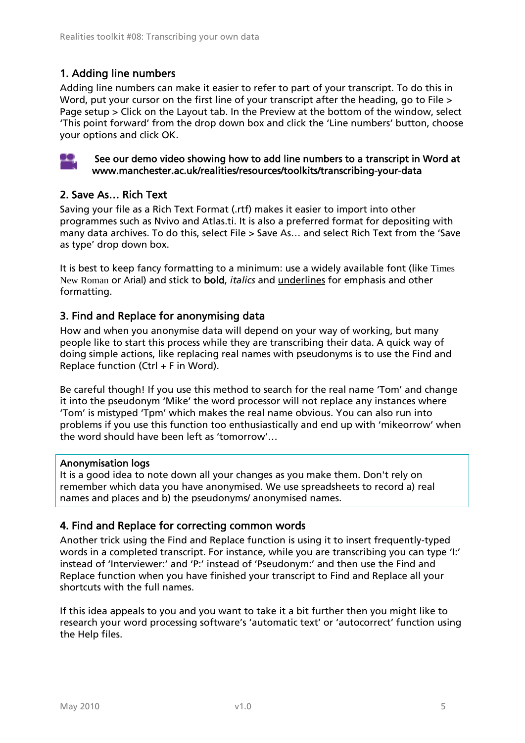## 1. Adding line numbers

Adding line numbers can make it easier to refer to part of your transcript. To do this in Word, put your cursor on the first line of your transcript after the heading, go to File > Page setup > Click on the Layout tab. In the Preview at the bottom of the window, select 'This point forward' from the drop down box and click the 'Line numbers' button, choose your options and click OK.



#### See our demo video showing how to add line numbers to a transcript in Word at www.manchester.ac.uk/realities/resources/toolkits/transcribing-your-data

### 2. Save As… Rich Text

Saving your file as a Rich Text Format (.rtf) makes it easier to import into other programmes such as Nvivo and Atlas.ti. It is also a preferred format for depositing with many data archives. To do this, select File > Save As… and select Rich Text from the 'Save as type' drop down box.

It is best to keep fancy formatting to a minimum: use a widely available font (like Times New Roman or Arial) and stick to bold, *italics* and underlines for emphasis and other formatting.

### 3. Find and Replace for anonymising data

How and when you anonymise data will depend on your way of working, but many people like to start this process while they are transcribing their data. A quick way of doing simple actions, like replacing real names with pseudonyms is to use the Find and Replace function (Ctrl + F in Word).

Be careful though! If you use this method to search for the real name 'Tom' and change it into the pseudonym 'Mike' the word processor will not replace any instances where 'Tom' is mistyped 'Tpm' which makes the real name obvious. You can also run into problems if you use this function too enthusiastically and end up with 'mikeorrow' when the word should have been left as 'tomorrow'…

#### Anonymisation logs

It is a good idea to note down all your changes as you make them. Don't rely on remember which data you have anonymised. We use spreadsheets to record a) real names and places and b) the pseudonyms/ anonymised names.

### 4. Find and Replace for correcting common words

Another trick using the Find and Replace function is using it to insert frequently-typed words in a completed transcript. For instance, while you are transcribing you can type 'I:' instead of 'Interviewer:' and 'P:' instead of 'Pseudonym:' and then use the Find and Replace function when you have finished your transcript to Find and Replace all your shortcuts with the full names.

If this idea appeals to you and you want to take it a bit further then you might like to research your word processing software's 'automatic text' or 'autocorrect' function using the Help files.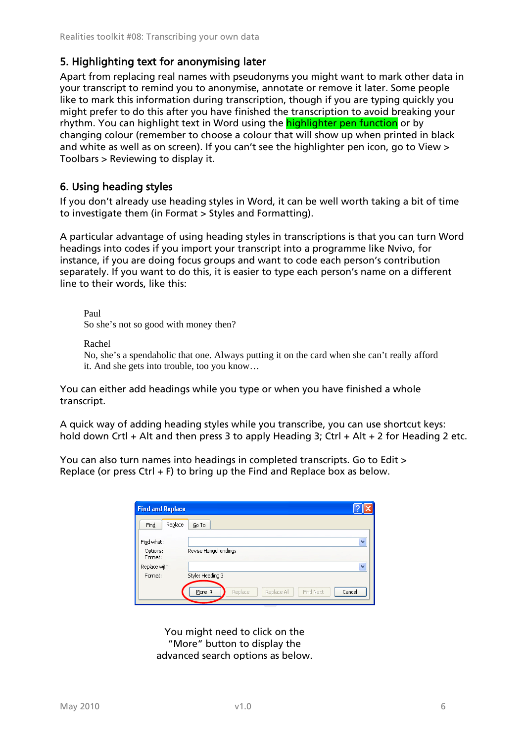### 5. Highlighting text for anonymising later

Apart from replacing real names with pseudonyms you might want to mark other data in your transcript to remind you to anonymise, annotate or remove it later. Some people like to mark this information during transcription, though if you are typing quickly you might prefer to do this after you have finished the transcription to avoid breaking your rhythm. You can highlight text in Word using the highlighter pen function or by changing colour (remember to choose a colour that will show up when printed in black and white as well as on screen). If you can't see the highlighter pen icon, go to View > Toolbars > Reviewing to display it.

### 6. Using heading styles

If you don't already use heading styles in Word, it can be well worth taking a bit of time to investigate them (in Format > Styles and Formatting).

A particular advantage of using heading styles in transcriptions is that you can turn Word headings into codes if you import your transcript into a programme like Nvivo, for instance, if you are doing focus groups and want to code each person's contribution separately. If you want to do this, it is easier to type each person's name on a different line to their words, like this:

Paul So she's not so good with money then?

Rachel

No, she's a spendaholic that one. Always putting it on the card when she can't really afford it. And she gets into trouble, too you know…

You can either add headings while you type or when you have finished a whole transcript.

A quick way of adding heading styles while you transcribe, you can use shortcut keys: hold down Crtl + Alt and then press 3 to apply Heading 3; Ctrl + Alt + 2 for Heading 2 etc.

You can also turn names into headings in completed transcripts. Go to Edit > Replace (or press Ctrl + F) to bring up the Find and Replace box as below.

| <b>Find and Replace</b>           |                                                             |
|-----------------------------------|-------------------------------------------------------------|
| Replace<br>Find                   | Go To                                                       |
| Find what:<br>Options:<br>Format: | $\checkmark$<br>Revise Hangul endings                       |
| Replace with:<br>Format:          | $\checkmark$<br>Style: Heading 3                            |
|                                   | Find Next<br>Replace<br>More $\mp$<br>Cancel<br>Replace All |

You might need to click on the "More" button to display the advanced search options as below.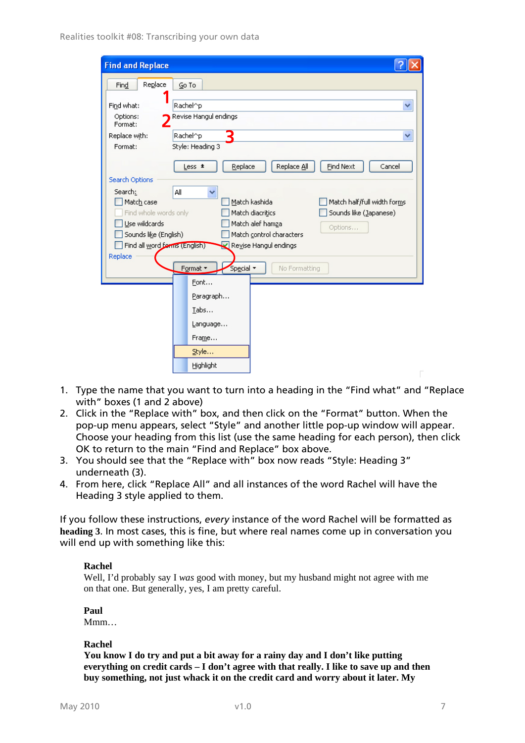| <b>Find and Replace</b>                                                                                 |                                                         |  |  |  |
|---------------------------------------------------------------------------------------------------------|---------------------------------------------------------|--|--|--|
| Replace<br>Find                                                                                         | Go To                                                   |  |  |  |
| Find what:                                                                                              | Rachel^p<br>$\checkmark$                                |  |  |  |
| Options:<br>Format:                                                                                     | Revise Hangul endings                                   |  |  |  |
| Replace with:                                                                                           | Rachel^p<br>$\checkmark$                                |  |  |  |
| Format:                                                                                                 | Style: Heading 3                                        |  |  |  |
|                                                                                                         | Find Next<br>Replace<br>Replace All<br>Cancel<br>Less * |  |  |  |
| Search Options                                                                                          |                                                         |  |  |  |
| Search:                                                                                                 | All<br>v                                                |  |  |  |
| Match case<br>Match kashida<br>Match half/full width forms<br>Find whole words only<br>Match diacritics |                                                         |  |  |  |
| Sounds like (Japanese)<br>Use wildcards<br>Match alef hamza                                             |                                                         |  |  |  |
| Options<br>Sounds like (English)<br>Match control characters                                            |                                                         |  |  |  |
| Find all word forms (English)                                                                           | Revise Hangul endings                                   |  |  |  |
| Replace                                                                                                 |                                                         |  |  |  |
|                                                                                                         | Format *<br>No Formatting<br>Special *                  |  |  |  |
|                                                                                                         | Font                                                    |  |  |  |
|                                                                                                         | Paragraph                                               |  |  |  |
|                                                                                                         | Tabs                                                    |  |  |  |
|                                                                                                         | Language                                                |  |  |  |
|                                                                                                         | Frame                                                   |  |  |  |
|                                                                                                         | Style                                                   |  |  |  |
|                                                                                                         | Highlight                                               |  |  |  |

- 1. Type the name that you want to turn into a heading in the "Find what" and "Replace with" boxes (1 and 2 above)
- 2. Click in the "Replace with" box, and then click on the "Format" button. When the pop-up menu appears, select "Style" and another little pop-up window will appear. Choose your heading from this list (use the same heading for each person), then click OK to return to the main "Find and Replace" box above.
- 3. You should see that the "Replace with" box now reads "Style: Heading 3" underneath (3).
- 4. From here, click "Replace All" and all instances of the word Rachel will have the Heading 3 style applied to them.

If you follow these instructions, *every* instance of the word Rachel will be formatted as **heading 3**. In most cases, this is fine, but where real names come up in conversation you will end up with something like this:

#### **Rachel**

Well, I'd probably say I *was* good with money, but my husband might not agree with me on that one. But generally, yes, I am pretty careful.

**Paul** 

Mmm…

#### **Rachel**

**You know I do try and put a bit away for a rainy day and I don't like putting everything on credit cards – I don't agree with that really. I like to save up and then buy something, not just whack it on the credit card and worry about it later. My**